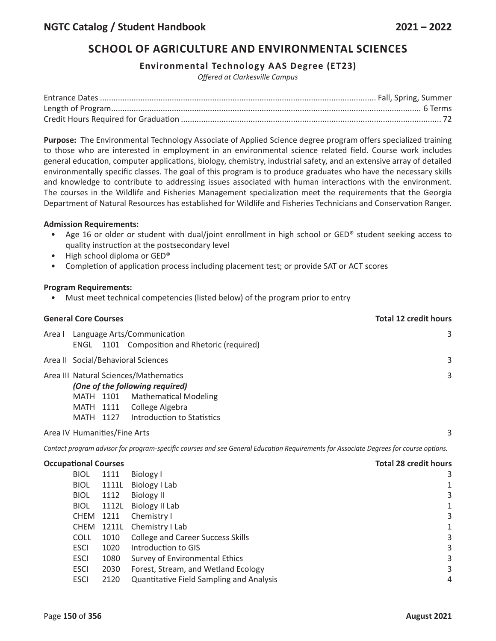## **SCHOOL OF AGRICULTURE AND ENVIRONMENTAL SCIENCES**

## **Environmental Technology AAS Degree (ET23)**

*Offered at Clarkesville Campus*

**Purpose:** The Environmental Technology Associate of Applied Science degree program offers specialized training to those who are interested in employment in an environmental science related field. Course work includes general education, computer applications, biology, chemistry, industrial safety, and an extensive array of detailed environmentally specific classes. The goal of this program is to produce graduates who have the necessary skills and knowledge to contribute to addressing issues associated with human interactions with the environment. The courses in the Wildlife and Fisheries Management specialization meet the requirements that the Georgia Department of Natural Resources has established for Wildlife and Fisheries Technicians and Conservation Ranger.

### **Admission Requirements:**

- Age 16 or older or student with dual/joint enrollment in high school or GED® student seeking access to quality instruction at the postsecondary level
- High school diploma or GED®
- Completion of application process including placement test; or provide SAT or ACT scores

### **Program Requirements:**

• Must meet technical competencies (listed below) of the program prior to entry

| <b>General Core Courses</b> |                                                                                     |   |                                                                                                                                                           |  | <b>Total 12 credit hours</b> |  |  |
|-----------------------------|-------------------------------------------------------------------------------------|---|-----------------------------------------------------------------------------------------------------------------------------------------------------------|--|------------------------------|--|--|
|                             | Area I Language Arts/Communication<br>ENGL 1101 Composition and Rhetoric (required) | 3 |                                                                                                                                                           |  |                              |  |  |
|                             | Area II Social/Behavioral Sciences                                                  |   |                                                                                                                                                           |  |                              |  |  |
|                             | MATH 1101<br>MATH 1111<br>MATH 1127                                                 |   | Area III Natural Sciences/Mathematics<br>(One of the following required)<br><b>Mathematical Modeling</b><br>College Algebra<br>Introduction to Statistics |  | 3                            |  |  |

Area IV Humanities/Fine Arts 3

Contact program advisor for program-specific courses and see General Education Requirements for Associate Degrees for course options.

#### **Occupational Courses Total 28 credit hours**

| <b>BIOL</b> | 1111       | Biology I                                       | 3 |
|-------------|------------|-------------------------------------------------|---|
| <b>BIOL</b> | 1111L      | Biology I Lab                                   | 1 |
| <b>BIOL</b> | 1112       | <b>Biology II</b>                               | 3 |
| <b>BIOL</b> | 1112L      | Biology II Lab                                  |   |
| CHEM        | 1211       | Chemistry I                                     | 3 |
|             | CHEM 1211L | Chemistry I Lab                                 | 1 |
| <b>COLL</b> | 1010       | <b>College and Career Success Skills</b>        | 3 |
| <b>ESCI</b> | 1020       | Introduction to GIS                             | 3 |
| <b>ESCI</b> | 1080       | Survey of Environmental Ethics                  | 3 |
| <b>ESCI</b> | 2030       | Forest, Stream, and Wetland Ecology             | 3 |
| <b>ESCI</b> | 2120       | <b>Quantitative Field Sampling and Analysis</b> | 4 |